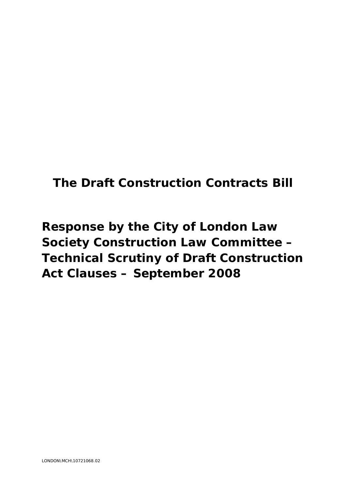# **The Draft Construction Contracts Bill**

# **Response by the City of London Law Society Construction Law Committee – Technical Scrutiny of Draft Construction Act Clauses – September 2008**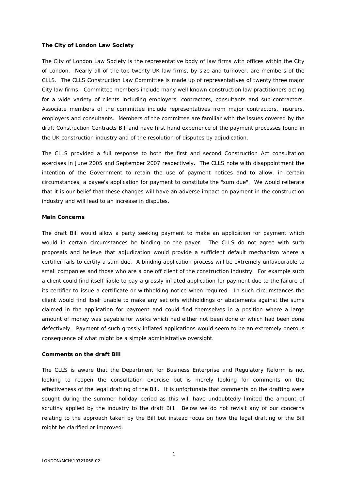#### **The City of London Law Society**

The City of London Law Society is the representative body of law firms with offices within the City of London. Nearly all of the top twenty UK law firms, by size and turnover, are members of the CLLS. The CLLS Construction Law Committee is made up of representatives of twenty three major City law firms. Committee members include many well known construction law practitioners acting for a wide variety of clients including employers, contractors, consultants and sub-contractors. Associate members of the committee include representatives from major contractors, insurers, employers and consultants. Members of the committee are familiar with the issues covered by the draft Construction Contracts Bill and have first hand experience of the payment processes found in the UK construction industry and of the resolution of disputes by adjudication.

The CLLS provided a full response to both the first and second Construction Act consultation exercises in June 2005 and September 2007 respectively. The CLLS note with disappointment the intention of the Government to retain the use of payment notices and to allow, in certain circumstances, a payee's application for payment to constitute the "sum due". We would reiterate that it is our belief that these changes will have an adverse impact on payment in the construction industry and will lead to an increase in disputes.

#### **Main Concerns**

The draft Bill would allow a party seeking payment to make an application for payment which would in certain circumstances be binding on the payer. The CLLS do not agree with such proposals and believe that adjudication would provide a sufficient default mechanism where a certifier fails to certify a sum due. A binding application process will be extremely unfavourable to small companies and those who are a one off client of the construction industry. For example such a client could find itself liable to pay a grossly inflated application for payment due to the failure of its certifier to issue a certificate or withholding notice when required. In such circumstances the client would find itself unable to make any set offs withholdings or abatements against the sums claimed in the application for payment and could find themselves in a position where a large amount of money was payable for works which had either not been done or which had been done defectively. Payment of such grossly inflated applications would seem to be an extremely onerous consequence of what might be a simple administrative oversight.

### **Comments on the draft Bill**

The CLLS is aware that the Department for Business Enterprise and Regulatory Reform is not looking to reopen the consultation exercise but is merely looking for comments on the effectiveness of the legal drafting of the Bill. It is unfortunate that comments on the drafting were sought during the summer holiday period as this will have undoubtedly limited the amount of scrutiny applied by the industry to the draft Bill. Below we do not revisit any of our concerns relating to the approach taken by the Bill but instead focus on how the legal drafting of the Bill might be clarified or improved.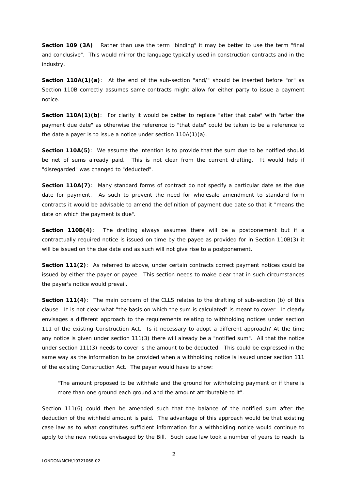**Section 109 (3A)**: Rather than use the term "binding" it may be better to use the term "final and conclusive". This would mirror the language typically used in construction contracts and in the industry.

**Section 110A(1)(a)**: At the end of the sub-section "and/" should be inserted before "or" as Section 110B correctly assumes same contracts might allow for either party to issue a payment notice.

**Section 110A(1)(b)**: For clarity it would be better to replace "after that date" with "after the payment due date" as otherwise the reference to "that date" could be taken to be a reference to the date a payer is to issue a notice under section 110A(1)(a).

**Section 110A(5)**: We assume the intention is to provide that the sum due to be notified should be net of sums already paid. This is not clear from the current drafting. It would help if "disregarded" was changed to "deducted".

**Section 110A(7)**: Many standard forms of contract do not specify a particular date as the due date for payment. As such to prevent the need for wholesale amendment to standard form contracts it would be advisable to amend the definition of payment due date so that it "means the date on which the payment is due".

**Section 110B(4)**: The drafting always assumes there will be a postponement but if a contractually required notice is issued on time by the payee as provided for in Section 110B(3) it will be issued on the due date and as such will not give rise to a postponement.

**Section 111(2):** As referred to above, under certain contracts correct payment notices could be issued by either the payer or payee. This section needs to make clear that in such circumstances the payer's notice would prevail.

**Section 111(4)**: The main concern of the CLLS relates to the drafting of sub-section (b) of this clause. It is not clear what "the basis on which the sum is calculated" is meant to cover. It clearly envisages a different approach to the requirements relating to withholding notices under section 111 of the existing Construction Act. Is it necessary to adopt a different approach? At the time any notice is given under section 111(3) there will already be a "notified sum". All that the notice under section 111(3) needs to cover is the amount to be deducted. This could be expressed in the same way as the information to be provided when a withholding notice is issued under section 111 of the existing Construction Act. The payer would have to show:

"The amount proposed to be withheld and the ground for withholding payment or if there is more than one ground each ground and the amount attributable to it".

Section 111(6) could then be amended such that the balance of the notified sum after the deduction of the withheld amount is paid. The advantage of this approach would be that existing case law as to what constitutes sufficient information for a withholding notice would continue to apply to the new notices envisaged by the Bill. Such case law took a number of years to reach its